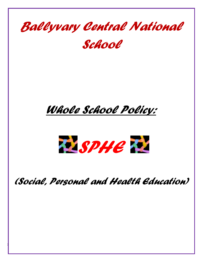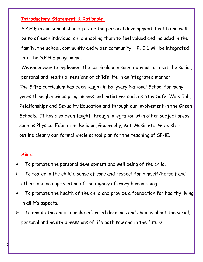#### **Introductory Statement & Rationale:**

S.P.H.E in our school should foster the personal development, health and well being of each individual child enabling them to feel valued and included in the family, the school, community and wider community. R. S.E will be integrated into the S.P.H.E programme.

We endeavour to implement the curriculum in such a way as to treat the social, personal and health dimensions of child's life in an integrated manner. The SPHE curriculum has been taught in Ballyvary National School for many years through various programmes and initiatives such as Stay Safe, Walk Tall, Relationships and Sexuality Education and through our involvement in the Green Schools. It has also been taught through integration with other subject areas such as Physical Education, Religion, Geography, Art, Music etc. We wish to outline clearly our formal whole school plan for the teaching of SPHE.

#### **Aims:**

- $\triangleright$  To promote the personal development and well being of the child.
- $\triangleright$  To foster in the child a sense of care and respect for himself/herself and others and an appreciation of the dignity of every human being.
- $\triangleright$  To promote the health of the child and provide a foundation for healthy living in all it's aspects.
- $\triangleright$  To enable the child to make informed decisions and choices about the social, personal and health dimensions of life both now and in the future.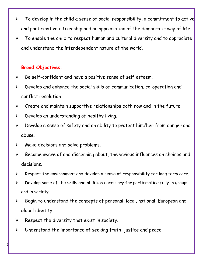- $\triangleright$  To develop in the child a sense of social responsibility, a commitment to active and participative citizenship and an appreciation of the democratic way of life.
- $\triangleright$  To enable the child to respect human and cultural diversity and to appreciate and understand the interdependent nature of the world.

## **Broad Objectives:**

- $\triangleright$  Be self-confident and have a positive sense of self esteem.
- $\triangleright$  Develop and enhance the social skills of communication, co-operation and conflict resolution.
- $\triangleright$  Create and maintain supportive relationships both now and in the future.
- $\triangleright$  Develop an understanding of healthy living.
- $\triangleright$  Develop a sense of safety and an ability to protect him/her from danger and abuse.
- $\triangleright$  Make decisions and solve problems.
- $\triangleright$  Become aware of and discerning about, the various influences on choices and decisions.
- $\triangleright$  Respect the environment and develop a sense of responsibility for long term care.
- $\triangleright$  Develop some of the skills and abilities necessary for participating fully in groups and in society.
- $\triangleright$  Begin to understand the concepts of personal, local, national, European and global identity.
- $\triangleright$  Respect the diversity that exist in society.

3

Understand the importance of seeking truth, justice and peace.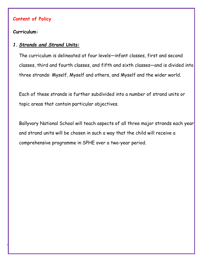#### **Content of Policy**

### **Curriculum:**

4

## *1. Strands and Strand Units:*

The curriculum is delineated at four levels—infant classes, first and second classes, third and fourth classes, and fifth and sixth classes—and is divided into three strands: Myself, Myself and others, and Myself and the wider world.

Each of these strands is further subdivided into a number of strand units or topic areas that contain particular objectives.

Ballyvary National School will teach aspects of all three major strands each year and strand units will be chosen in such a way that the child will receive a comprehensive programme in SPHE over a two-year period.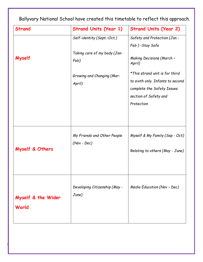| <b>Strand</b>               | <b>Strand Units (Year 1)</b>                 | <b>Strand Units (Year 2)</b>                                                                                                            |
|-----------------------------|----------------------------------------------|-----------------------------------------------------------------------------------------------------------------------------------------|
| Myself                      | Self-identity (Sept.-Oct.)                   | Safety and Protection (Jan -                                                                                                            |
|                             |                                              | Feb)-Stay Safe                                                                                                                          |
|                             | Taking care of my body (Jan-<br>Feb)         | <b>Making Decisions (March -</b><br>April)                                                                                              |
|                             | <b>Growing and Changing (Mar-</b><br>April)  | *This strand unit is for third<br>to sixth only. Infants to second<br>complete the Safety Issues<br>section of Safety and<br>Protection |
| Myself & Others             | My Friends and Other People<br>$(Nov - Dec)$ | Myself & My Family (Sep - Oct)<br>Relating to others (May - June)                                                                       |
| Myself & the Wider<br>World | Developing Citizenship (May -<br>June)       | Media Education (Nov - Dec)                                                                                                             |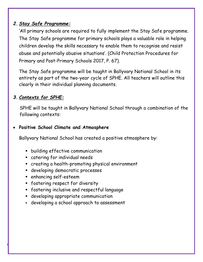## *2. Stay Safe Programme:*

'All primary schools are required to fully implement the Stay Safe programme. The Stay Safe programme for primary schools plays a valuable role in helping children develop the skills necessary to enable them to recognise and resist abuse and potentially abusive situations'. (Child Protection Procedures for Primary and Post-Primary Schools 2017, P. 67).

The Stay Safe programme will be taught in Ballyvary National School in its entirety as part of the two-year cycle of SPHE. All teachers will outline this clearly in their individual planning documents.

# *3. Contexts for SPHE:*

 SPHE will be taught in Ballyvary National School through a combination of the following contexts:

## **Positive School Climate and Atmosphere**

Ballyvary National School has created a positive atmosphere by:

- building effective communication
- catering for individual needs
- creating a health-promoting physical environment
- **developing democratic processes**
- enhancing self-esteem

- **F** fostering respect for diversity
- fostering inclusive and respectful language
- developing appropriate communication
- developing a school approach to assessment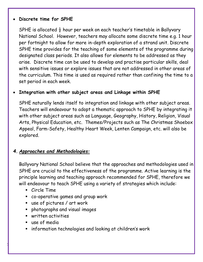#### **Discrete time for SPHE**

SPHE is allocated  $\frac{1}{2}$  hour per week on each teacher's timetable in Ballyvary National School. However, teachers may allocate some discrete time e.g. 1 hour per fortnight to allow for more in-depth exploration of a strand unit. Discrete SPHE time provides for the teaching of some elements of the programme during designated class periods*.* It also allows for elements to be addressed as they arise. Discrete time can be used to develop and practise particular skills, deal with sensitive issues or explore issues that are not addressed in other areas of the curriculum. This time is used as required rather than confining the time to a set period in each week.

## **Integration with other subject areas and Linkage within SPHE**

SPHE naturally lends itself to integration and linkage with other subject areas. Teachers will endeavour to adopt a thematic approach to SPHE by integrating it with other subject areas such as Language, Geography, History, Religion, Visual Arts, Physical Education, etc. Themes/Projects such as The Christmas Shoebox Appeal, Farm-Safety, Healthy Heart Week, Lenten Campaign, etc. will also be explored.

## *4. Approaches and Methodologies:*

Ballyvary National School believe that the approaches and methodologies used in SPHE are crucial to the effectiveness of the programme. Active learning is the principle learning and teaching approach recommended for SPHE, therefore we will endeavour to teach SPHE using a variety of strategies which include:

- Circle Time
- co-operative games and group work
- use of pictures / art work
- photographs and visual images
- written activities
- use of media

7

**EXTERN** information technologies and looking at children's work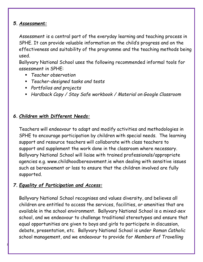## *5. Assessment:*

Assessment is a central part of the everyday learning and teaching process in SPHE. It can provide valuable information on the child's progress and on the effectiveness and suitability of the programme and the teaching methods being used.

Ballyvary National School uses the following recommended informal tools for assessment in SPHE:

- *Teacher observation*
- *Teacher-designed tasks and tests*
- *Portfolios and projects*
- *Hardback Copy / Stay Safe workbook / Material on Google Classroom*

## *6. Children with Different Needs:*

Teachers will endeavour to adapt and modify activities and methodologies in SPHE to encourage participation by children with special needs. The learning support and resource teachers will collaborate with class teachers to support and supplement the work done in the classroom where necessary. Ballyvary National School will liaise with trained professionals/appropriate agencies e.g. www.childhoodbereavement.ie when dealing with sensitive issues such as bereavement or loss to ensure that the children involved are fully supported.

## *7. Equality of Participation and Access:*

8

Ballyvary National School recognises and values diversity, and believes all children are entitled to access the services, facilities, or amenities that are available in the school environment. Ballyvary National School is a *mixed-sex* school, and we endeavour to challenge traditional stereotypes and ensure that equal opportunities are given to boys and girls to participate in discussion, debate, presentation, etc. Ballyvary National School is under *Roman Catholic* school management, and we endeavour to provide for *Members of Travelling*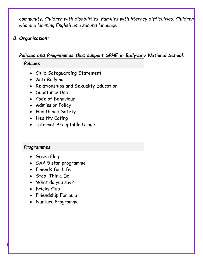*community, Children with disabilities, Families with literacy difficulties, Children who are learning English as a second language.*

## *8. Organisation:*

## *Policies and Programmes that support SPHE in Ballyvary National School:*

## *Policies*

- Child Safeguarding Statement
- Anti-Bullying
- Relationships and Sexuality Education
- Substance Use
- Code of Behaviour
- Admission Policy
- Health and Safety
- Healthy Eating
- Internet Acceptable Usage

## *Programmes*

- Green Flag
- GAA 5 star programme
- Friends for Life
- Stop, Think, Do
- What do you say?
- Bricks Club

- Friendship Formula
- Nurture Programme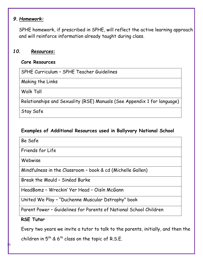## *9. Homework:*

SPHE homework, if prescribed in SPHE, will reflect the active learning approach and will reinforce information already taught during class.

#### *10. Resources:*

#### **Core Resources**

SPHE Curriculum – SPHE Teacher Guidelines

Making the Links

Walk Tall

Relationships and Sexuality (RSE) Manuals (See Appendix 1 for language)

Stay Safe

### **Examples of Additional Resources used in Ballyvary National School**

Be Safe

Friends for Life

Webwise

Mindfulness in the Classroom – book & cd (Michelle Gallen)

Break the Mould – Sinéad Burke

HeadBomz – Wreckin' Yer Head – Oisín McGann

United We Play – "Duchenne Muscular Dstrophy" book

Parent Power – Guidelines for Parents of National School Children

## **RSE Tutor**

Every two years we invite a tutor to talk to the parents, initially, and then the

children in  $5^{\text{th}}$  & 6<sup>th</sup> class on the topic of R.S.E.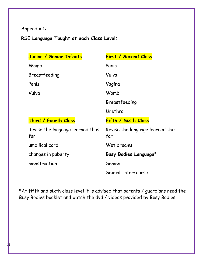## Appendix 1:

11

# **RSE Language Taught at each Class Level:**

| Junior / Senior Infants                 | <b>First / Second Class</b>             |  |
|-----------------------------------------|-----------------------------------------|--|
| Womb                                    | Penis                                   |  |
| Breastfeeding                           | Vulva                                   |  |
| Penis                                   | Vagina                                  |  |
| Vulva                                   | Womb                                    |  |
|                                         | Breastfeeding                           |  |
|                                         | Urethra                                 |  |
| Third / Fourth Class                    | Fifth / Sixth Class                     |  |
| Revise the language learned thus<br>far | Revise the language learned thus<br>far |  |
| umbilical cord                          | Wet dreams                              |  |
| changes in puberty                      | Busy Bodies Language*                   |  |
| menstruation                            | Semen                                   |  |
|                                         | Sexual Intercourse                      |  |

\*At fifth and sixth class level it is advised that parents / guardians read the Busy Bodies booklet and watch the dvd / videos provided by Busy Bodies.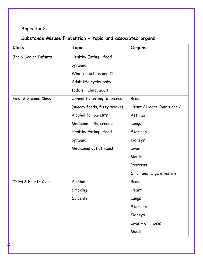# Appendix 2:

# **Substance Misuse Prevention - topic and associated organs:**

| Class                | <b>Topic</b>                 | Organs                     |
|----------------------|------------------------------|----------------------------|
| Jnr & Senior Infants | Healthy Eating - food        |                            |
|                      | pyramid.                     |                            |
|                      | What do babies need?         |                            |
|                      | Adult life cycle: baby,      |                            |
|                      | toddler, child, adult        |                            |
| First & Second Class | Unhealthy eating to excess   | <b>Brain</b>               |
|                      | (sugary foods, fizzy drinks) | Heart / Heart Conditions / |
|                      | Alcohol for parents          | Asthma                     |
|                      | Medicine, pills, creams      | Lungs                      |
|                      | Healthy Eating - food        | Stomach                    |
|                      | pyramid                      | Kidneys                    |
|                      | Medicines out of reach       | Liver                      |
|                      |                              | Mouth                      |
|                      |                              | Pancreas                   |
|                      |                              | Small and large intestine  |
| Third & Fourth Class | Alcohol                      | <b>Brain</b>               |
|                      | Smoking                      | Heart                      |
|                      | Solvents                     | Lungs                      |
|                      |                              | Stomach                    |
|                      |                              | Kidneys                    |
|                      |                              | Liver - Cirrhosis          |
|                      |                              | Mouth                      |